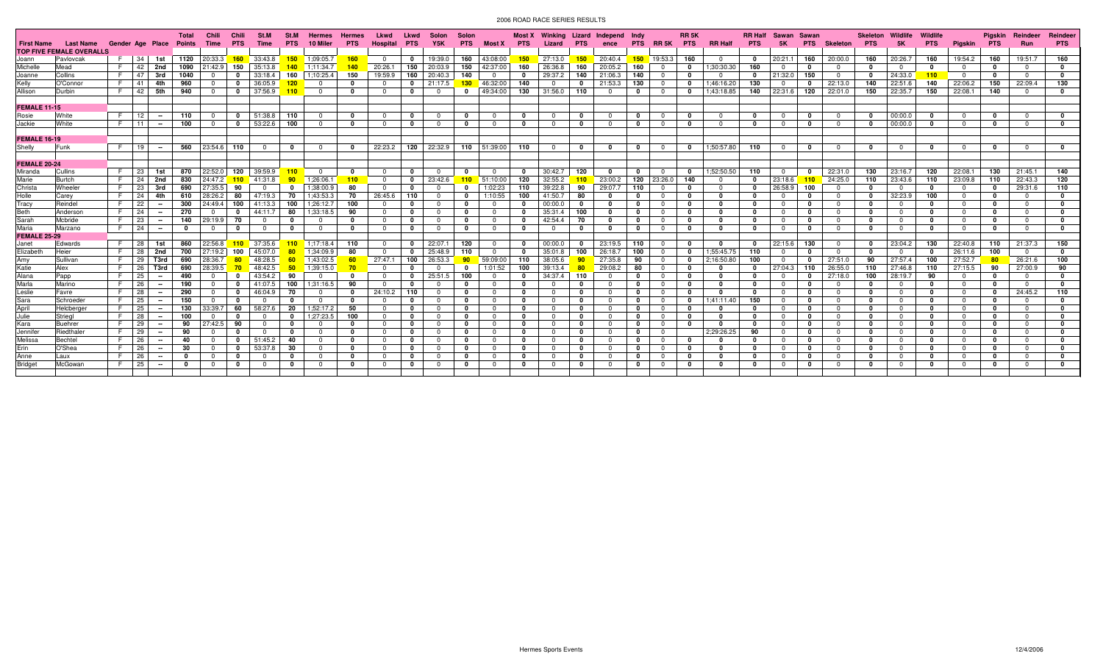| <b>First Name</b>   | <b>Last Name</b>                | Gender Age Place Points |                 |                | <b>Total</b> | Chili<br>Time    | Chili<br><b>PTS</b> | St.M<br>Time            | St.M<br><b>PTS</b> | <b>Hermes</b><br>10 Miler | <b>Hermes</b><br><b>PTS</b> | Lkwd<br>Hospital | Lkwd<br><b>PTS</b> | Solon<br>Y5K | Solon<br><b>PTS</b> | Most X                       | <b>PTS</b>   | Most X Winking Lizard Independ<br>Lizard | <b>PTS</b>   | ence         | Indy         | PTS RR5K       | <b>RR 5K</b><br><b>PTS</b> | <b>RR Half</b> | <b>RR Half</b><br><b>PTS</b> | Sawan<br><b>5K</b> | Sawan<br><b>PTS</b> | Skeleton       | Skeleton<br><b>PTS</b> | Wildlife<br>5K | <b>Wildlife</b><br><b>PTS</b> | Pigskin PTS | Piaskin         | Reindeer<br><b>Run</b> | Reindeer<br><b>PTS</b> |
|---------------------|---------------------------------|-------------------------|-----------------|----------------|--------------|------------------|---------------------|-------------------------|--------------------|---------------------------|-----------------------------|------------------|--------------------|--------------|---------------------|------------------------------|--------------|------------------------------------------|--------------|--------------|--------------|----------------|----------------------------|----------------|------------------------------|--------------------|---------------------|----------------|------------------------|----------------|-------------------------------|-------------|-----------------|------------------------|------------------------|
|                     | <b>TOP FIVE FEMALE OVERALLS</b> |                         |                 |                |              |                  |                     |                         |                    |                           |                             |                  |                    |              |                     |                              |              |                                          |              |              |              |                |                            |                |                              |                    |                     |                |                        |                |                               |             |                 |                        |                        |
| Joann               | Pavlovcak                       |                         | 34              | 1st            |              | 1120 20:33.3 160 |                     | 33:43.8                 | $-150$             | 1:09:05.7                 | - 160                       | $^{\circ}$       | $\mathbf{0}$       | 19:39.0      | 160                 | 43:08:00                     | 150          | 27:13.0                                  | 150          | 20:40.4      |              | $150$ 19:53.3  | 160                        | - 0            | $\mathbf{0}$                 | 20:21.1            | 160                 | 20:00.0        | 160                    | 20:26.7        | 160                           | 19:54.2     | 160             | 19:51.7                | 160                    |
| Michelle            | Mead                            | E.                      | 42              | 2nd            | 1090         | 21:42.9          | 150                 | 35:13.8                 | 140                | 1;11:34.7                 | 140                         | 20:26.1          | 150                | 20:03.9      | 150                 | 42:37:00                     | 160          | 26:36.8                                  | 160          | 20:05.2      | 160          | $\Omega$       | 0                          | 1;30:30.30     | 160                          | $^{\circ}$         | $\mathbf{0}$        | $\overline{0}$ | $\Omega$               | 0              | 0                             | $\Omega$    | $\mathbf{0}$    | $\Omega$               |                        |
| Joanne              | Collins                         | F.                      | 47              | 3rd            | 1040         | $^{\circ}$       | $\mathbf{0}$        | 33:18.4                 | 160                | 1:10:25.4                 | 150                         | 19:59.9          | 160                | 20:40.3      | 140                 | $\mathbf{0}$                 | 0            | 29:37.2                                  | 140          | 21:06.3      | 140          | $\overline{0}$ | 0                          | - 0            | $\mathbf{0}$                 | 21:32.0            | 150                 | $\Omega$       | $\mathbf 0$            | 24:33.0        | 110                           | $^{\circ}$  | $\mathbf 0$     | $\mathbf{0}$           | $\mathbf{0}$           |
| Kelly               | O'Connor                        | F.                      | -41             | 4th            | 960          |                  | $\mathbf 0$         | 36:05.9                 | 120                | $\overline{0}$            | $\Omega$                    |                  |                    | 21:17.5      | 130                 | 46:32:00                     | 140          |                                          | 0            | 21:53.3      | 130          | $^{\circ}$     | 0                          | 1;46:16.20     | 130                          | $^{\circ}$         | 0                   | 22:13.0        | 140                    | 22:51.6        | 140                           | 22:06.2     | 150             | 22:09.4                | 130                    |
| Allison             | Durbin                          | E.                      | 42              | 5th            | 940          | $\overline{0}$   | $\mathbf 0$         | 37:56.9                 | 110                | $\overline{0}$            | - 0                         | $\mathbf{0}$     | $\mathbf{0}$       | $\Omega$     | $\Omega$            | 49:34:00                     | 130          | 31:56.0 110                              |              |              | 0            | $\mathbf{0}$   | $\mathbf 0$                | 1:43:18.85     | 140                          | 22:31.6            | 120                 | 22:01.0        | 150                    | 22:35.7        | 150                           | 22:08.1     | 140             | $\Omega$               | $\Omega$               |
|                     |                                 |                         |                 |                |              |                  |                     |                         |                    |                           |                             |                  |                    |              |                     |                              |              |                                          |              |              |              |                |                            |                |                              |                    |                     |                |                        |                |                               |             |                 |                        |                        |
| <b>FEMALE 11-15</b> |                                 |                         |                 |                |              |                  |                     |                         |                    |                           |                             |                  |                    |              |                     |                              |              |                                          |              |              |              |                |                            |                |                              |                    |                     |                |                        |                |                               |             |                 |                        |                        |
| Rosie               | White                           | E.                      | 12              |                | 110          | $\Omega$         | $\mathbf 0$         | 51:38.8                 | 110                | $\overline{0}$            | $\Omega$                    | $\Omega$         | $\mathbf{0}$       | $\Omega$     | $\Omega$            | $\Omega$                     | $\Omega$     | $\Omega$                                 | $^{\circ}$   |              | $^{\circ}$   | $\overline{0}$ | $\mathbf 0$                | $\Omega$       | $\Omega$                     | $^{\circ}$         | $\mathbf 0$         | $\overline{0}$ | $\mathbf{0}$           | 00:00.0        | $\mathbf{0}$                  | $\Omega$    | $\mathbf{0}$    | $\Omega$               | $\Omega$               |
| Jackie              | White                           | E I                     | 11 <sub>1</sub> |                | 100          | $\Omega$         | $\mathbf 0$         | 53:22.6                 | 100                | $\Omega$                  | $\Omega$                    | $\Omega$         | $\mathbf 0$        | $\Omega$     | $\mathbf{0}$        | $\Omega$                     | $\Omega$     | $\Omega$                                 | $\mathbf{0}$ |              | $^{\circ}$   | $^{\circ}$     | $\mathbf 0$                | $\Omega$       | $\mathbf 0$                  | $^{\circ}$         | $\mathbf 0$         | $\overline{0}$ | $\Omega$               | 00:00.0        | - 0                           | $\Omega$    | $\mathbf{0}$    | $\Omega$               | $\Omega$               |
|                     |                                 |                         |                 |                |              |                  |                     |                         |                    |                           |                             |                  |                    |              |                     |                              |              |                                          |              |              |              |                |                            |                |                              |                    |                     |                |                        |                |                               |             |                 |                        |                        |
| <b>FEMALE 16-19</b> |                                 |                         |                 |                |              |                  |                     |                         |                    |                           |                             |                  |                    |              |                     |                              |              |                                          |              |              |              |                |                            |                |                              |                    |                     |                |                        |                |                               |             |                 |                        |                        |
| Shelly              | <b>IFunk</b>                    | F   19                  |                 | $\sim$         |              | 560 23:54.6 110  |                     | $\overline{\mathbf{0}}$ | $\mathbf 0$        | $\overline{0}$            | $\Omega$                    | 22:23.2          |                    |              |                     | 120 22:32.9 110 51:39:00 110 |              | $^{\circ}$                               | $\mathbf{0}$ | $\mathbf{0}$ | $\mathbf 0$  | $\overline{0}$ | $\mathbf 0$                | 1:50:57.80     | 110                          | $\mathbf 0$        | $\mathbf 0$         | $\overline{0}$ | $\mathbf 0$            | $\Omega$       | 0                             | $\Omega$    | $\mathbf 0$     | $\mathbf{0}$           | $\mathbf{0}$           |
|                     |                                 |                         |                 |                |              |                  |                     |                         |                    |                           |                             |                  |                    |              |                     |                              |              |                                          |              |              |              |                |                            |                |                              |                    |                     |                |                        |                |                               |             |                 |                        |                        |
| <b>FEMALE 20-24</b> |                                 |                         |                 |                |              |                  |                     |                         |                    |                           |                             |                  |                    |              |                     |                              |              |                                          |              |              |              |                |                            |                |                              |                    |                     |                |                        |                |                               |             |                 |                        |                        |
| Miranda             | Cullins                         | F.                      | 23              | 1st            | 870          | 22:52.0          | 120                 | 39:59.9                 | 110                | $\overline{0}$            | $\Omega$                    | $\Omega$         | $\mathbf{0}$       | $\Omega$     | $\Omega$            | $\Omega$                     | $\Omega$     | 30:42.7                                  | 120          |              | $\mathbf{0}$ | $\overline{0}$ | $\mathbf{0}$               | 1;52:50.50     | 110                          | $^{\circ}$         | $\mathbf 0$         | 22:31.0        | 130                    | 23:16.7        | 120                           | 22:08.1     | 130             | 21:45.1                | 140                    |
| Marie               | Burtch                          | F.                      | 24              | 2nd            | 830          | 24:47.2          | 110                 | 41:31.8                 | 90                 | 1:26:06.1                 | 110                         | $\Omega$         | $\mathbf{0}$       | 23:42.6      | 110                 | 51:10:00                     | 120          | 32:55.2                                  | 110          | 23:00.2      | 120          | 23:26.0        | 140                        | $\Omega$       | $\mathbf{0}$                 | 23:18.6            |                     | $110$ 24:25.0  | 110                    | 23:43.6        | 110                           | 23:09.8     | 110             | 22:43.3                | 120                    |
| Christa             | Wheeler                         | E.                      | 23              | 3rd            | 690          | 27:35.5          | 90                  | $\Omega$                |                    | 1;38:00.9                 | 80                          | $\Omega$         |                    |              |                     | 1:02:23                      | 110          | 39:22.8                                  | 90           | 29:07.7      | 110          | $\Omega$       | 0                          | $\Omega$       |                              | 26:58.9            | 100                 | $\overline{0}$ | $\Omega$               | $\Omega$       | - 0                           | $\Omega$    | $\mathbf{0}$    | 29:31.6                | 110                    |
| Holle               | Carev                           | E.                      | 24              | 4th            | 610          | 28:26.2          | 80                  | 47:19.3                 | 70                 | 1:43:53.3                 | -70                         | 26:45.6          | 110                | $\Omega$     | 0                   | 1:10:55                      | 100          | 41:50.7                                  | 80           |              | 0            | $^{\circ}$     | $\mathbf 0$                | $\mathbf{0}$   | 0                            | $\Omega$           | n                   | $\Omega$       | 0                      | 32:23.9        | 100                           | $\Omega$    | 0               | $\Omega$               |                        |
| Tracy               | Reindel                         | F.                      | 22              |                | 300          | 24:49.4          | 100                 | 41:13.3                 | 100                | 1;26:12.7                 | 100                         | $\Omega$         | $\mathbf{0}$       | $\Omega$     | 0                   | $\Omega$                     | 0            | 00:00.0                                  | 0            |              | $\mathbf{0}$ | $\Omega$       | 0                          | $\Omega$       | 0                            | $\Omega$           | $\mathbf{0}$        | $\Omega$       | $\Omega$               | റ              | 0                             | $\Omega$    | $\mathbf{0}$    | $\Omega$               |                        |
| Beth                | Anderson                        | F.                      | 24              | $\sim$         | 270          |                  |                     | 44:11.7                 | 80                 | 1;33:18.5                 | 90                          | $\Omega$         | $\mathbf 0$        | $\Omega$     | 0                   | $\Omega$                     | $\Omega$     | 35:31.4                                  | 100          |              | 0            | $^{\circ}$     | 0                          | $\Omega$       | $\mathbf{0}$                 | $^{\circ}$         | 0                   | $\Omega$       | n                      | $\Omega$       | 0                             | $^{\circ}$  | 0               | $\Omega$               |                        |
| Sarah               | Mcbride                         | F.                      | 23              |                | 140          | 29:19.9          | - 70                | $\overline{\mathbf{0}}$ | 0                  | $\overline{0}$            | $\Omega$                    | $\Omega$         | $\mathbf 0$        | $\Omega$     | $\Omega$            | $\Omega$                     | 0            | 42:54.4                                  | 70           |              | $\mathbf{0}$ | $^{\circ}$     | $\mathbf 0$                | $\Omega$       | 0                            | $^{\circ}$         | 0                   | $\Omega$       | 0                      | $\overline{0}$ | 0                             | $^{\circ}$  | $\mathbf 0$     | $\Omega$               |                        |
| Maria               | Marzano                         | E.                      | 24              | $\sim$         | $\mathbf{0}$ | $\Omega$         | $\mathbf 0$         | $\overline{\mathbf{0}}$ | 0                  | $\overline{0}$            | $\Omega$                    | $\Omega$         | $\mathbf{0}$       | $\Omega$     | $\mathbf 0$         | $\overline{0}$               | - 0          | $\Omega$                                 | $\Omega$     |              | $\mathbf 0$  | $\Omega$       | $\mathbf 0$                | $\Omega$       | $\mathbf 0$                  | $^{\circ}$         | $\mathbf 0$         | $\Omega$       | 0                      | $\mathbf{0}$   | - 0                           | $\Omega$    | $\mathbf{0}$    | $\Omega$               |                        |
| FEMALE 25-29        |                                 |                         |                 |                |              |                  |                     |                         |                    |                           |                             |                  |                    |              |                     |                              |              |                                          |              |              |              |                |                            |                |                              |                    |                     |                |                        |                |                               |             |                 |                        |                        |
| Janet               | Edwards                         |                         | 28              | 1st            | 860          | 22:56.8          | 110                 | 37:35.6                 | 110                | 1:17:18.4                 | 110                         | $\Omega$         | $^{\circ}$         | 22:07.1      | 120                 | $\Omega$                     | - 0          | 00:00.0                                  | $\Omega$     | 23:19.5      | 110          | $\mathbf{0}$   | 0                          |                | $\mathbf{0}$                 | 22:15.6            | 130                 | $\overline{0}$ | $\mathbf 0$            | 23:04.2        | 130                           | 22:40.8     | 110             | 21:37.3                | 150                    |
| Elizabeth           | Heier                           | F.                      | 28              | 2nd            | 700          | 27:19.2          | 100                 | 45:07.0                 | 80                 | 1:34:09.9                 | 80                          | $\Omega$         | $\mathbf{0}$       | 25:48.9      | 110                 | $\Omega$                     | - 0          | 35:01.8                                  | 100          | 26:18.7      | 100          | $\overline{0}$ | $\mathbf 0$                | 1;55:45.75     | 110                          | $^{\circ}$         | $\Omega$            | $\Omega$       | $\Omega$               | $\Omega$       | - 0                           | 26:11.6     | 100             | $\Omega$               |                        |
| Amy                 | Sullivan                        | E.                      | 29              | T3rd           | 690          | 28:36.7          | -80                 | 48:28.5                 |                    | 1:43:02.5                 | 60                          | 27:47.1          | 100                | 26:53.3      | 90                  | 59:09:00                     | 110          | 38:05.6                                  | 90           | 27:35.8      | 90           | $\overline{0}$ | $\mathbf 0$                | 2;16:50.80     | 100                          | $\Omega$           | $\mathbf 0$         | 27:51.0        | 90                     | 27:57.4        | 100                           | 27:52.7     | 80 <sub>2</sub> | 26:21.6                | 100                    |
| Katie               | Alex                            | E.                      | 26              | T3rd           | 690          | 28:39.5          | 70                  | 48:42.5                 | 50                 | 1:39:15.0                 | 70                          | $\Omega$         | $^{\circ}$         | $\Omega$     | 0                   | 1:01:52                      | 100          | 39:13.4                                  | -80          | 29:08.2      | 80           | $\Omega$       | 0                          |                | 0                            | 27:04.3            | 110                 | 26:55.0        | 110                    | 27:46.8        | 110                           | 27:15.5     | 90              | 27:00.9                | 90                     |
| Alana               | Papp                            | E.                      | 25              |                | 490          | $\Omega$         | $\mathbf 0$         | 43:54.2                 | 90                 | $\overline{0}$            |                             | $^{\circ}$       | $\mathbf{0}$       | 25:51.5      | 100                 | $^{\circ}$                   | - 0          | 34:37.4                                  | 110          |              | 0            | $^{\circ}$     | 0                          | $\mathbf{0}$   | 0                            | $^{\circ}$         | $\mathbf{0}$        | 27:18.0        | 100                    | 28:19.7        | 90                            | $^{\circ}$  | 0               | $\Omega$               |                        |
| Marla               | Marino                          | F.                      | 26              | $\sim$         | 190          | $\Omega$         | $\mathbf 0$         | 41:07.5                 | 100                | 1;31:16.5                 | 90                          | $\Omega$         | $\Omega$           | $\Omega$     | 0                   | $\Omega$                     | 0            | $\Omega$                                 | $\mathbf{0}$ |              | $\mathbf{0}$ | $\Omega$       | 0                          | $\Omega$       | $\mathbf{0}$                 | $\Omega$           | $\mathbf{0}$        | $\Omega$       | 0                      | $\Omega$       | - 0                           | $\Omega$    | $^{\circ}$      | $\overline{0}$         | - 0                    |
| Leslie              | Favre                           | E.                      | 28              |                | 290          | $\mathbf{0}$     | $\mathbf 0$         | 46:04.9                 | 70                 | $\overline{0}$            | - 0                         | 24:10.2          | 110                | $\Omega$     | 0                   | $\overline{0}$               | 0            | $\Omega$                                 | 0            | $\Omega$     | 0            | $^{\circ}$     | $\mathbf 0$                | - 0            | $\mathbf{0}$                 | $\mathbf{0}$       | $\mathbf 0$         | $\overline{0}$ | $\Omega$               | $\mathbf{0}$   | 0                             | $^{\circ}$  | $\mathbf 0$     | 24:45.2                | 110                    |
| Sara                | Schroeder                       | F.                      | 25              |                | 150          | $\Omega$         |                     | $\Omega$                | $\Omega$           | $\overline{0}$            | - 0                         | $\Omega$         | $\mathbf{0}$       | $\Omega$     | 0                   | $\Omega$                     | $\mathbf 0$  | $\Omega$                                 | $\mathbf 0$  |              | $\mathbf{0}$ | $^{\circ}$     | 0                          | 1;41:11.40     | 150                          | $^{\circ}$         | 0                   | $\Omega$       | 0                      | റ              | 0                             | $^{\circ}$  | $\mathbf 0$     | $\overline{0}$         | n                      |
| April               | Helcberge                       | F.                      | 25              |                | 130          | 33:39.7          | 60                  | 58:27.6                 | -20                | 1;52:17.2                 | 50                          | $^{\circ}$       | $\mathbf 0$        | $\Omega$     | $\mathbf 0$         | $\Omega$                     | 0            | $\Omega$                                 | 0            | $\Omega$     | $\mathbf 0$  | $\overline{0}$ | $\mathbf 0$                | 0              | $\mathbf 0$                  | $^{\circ}$         | $\mathbf 0$         | $\Omega$       | 0                      | $\mathbf{0}$   | 0                             | $^{\circ}$  | $\mathbf 0$     | $\Omega$               |                        |
| Julie               | Strieal                         | F.                      | 28              |                | 100          | $\Omega$         | $\Omega$            | $\Omega$                | 0                  | 1:27:23.5                 | 100                         | $\Omega$         | $^{\circ}$         | $\Omega$     | $\Omega$            | $\Omega$                     | $\mathbf{0}$ | $\Omega$                                 | $\Omega$     |              | $\Omega$     | $\Omega$       | $\mathbf 0$                | - 0            | <sup>0</sup>                 | $^{\circ}$         | $\mathbf{0}$        | $\Omega$       | $\Omega$               | $\Omega$       | - 0                           | $\Omega$    | $\mathbf{0}$    | $\Omega$               |                        |
| Kara                | Buehrer                         | F.                      | 29              |                | 90           | 27:42.5          | 90                  | $\Omega$                | $\Omega$           | $\Omega$                  |                             | $\Omega$         | $^{\circ}$         | $\Omega$     | $\Omega$            | $\Omega$                     | $\Omega$     |                                          | $\mathbf{0}$ |              | $\Omega$     | $\Omega$       | 0                          | - 0            | <sup>0</sup>                 | $\Omega$           | $\mathbf{0}$        | $\Omega$       | $\Omega$               | $\Omega$       | - 0                           | $\Omega$    | $\Omega$        | $\Omega$               |                        |
| Jennifer            | Riedthale                       | F.                      | 29              | $\sim$         | 90           |                  | $\mathbf{0}$        | $\Omega$                | $\mathbf{0}$       | $\overline{0}$            | $\Omega$                    | $\Omega$         | $\mathbf 0$        | $\Omega$     | 0                   | $\Omega$                     | $\mathbf{0}$ | $\Omega$                                 | $\mathbf 0$  |              | $\mathbf{0}$ | $\Omega$       |                            | 2;29:26.25     | 90                           | $^{\circ}$         | $\mathbf 0$         | $\Omega$       | 0                      | $\overline{0}$ | 0                             | $^{\circ}$  | 0               | $\Omega$               |                        |
| Melissa             | Bechtel                         | E.                      | 26              | $\sim$         | 40           | $\Omega$         | $\Omega$            | 51:45.2                 | 40                 | $\overline{0}$            | $\Omega$                    | $\Omega$         | $\mathbf{0}$       | $\Omega$     | $\mathbf 0$         | $\Omega$                     | $\mathbf{0}$ |                                          | $\mathbf{0}$ |              | $\Omega$     | $\mathbf{0}$   | $\mathbf 0$                | - 0            | $\mathbf{0}$                 | $^{\circ}$         | $\mathbf{0}$        | $\Omega$       | $\Omega$               | $\Omega$       | - 0                           | $\Omega$    | $\Omega$        | $\Omega$               |                        |
| Erin                | O'Shea                          | F.                      | 26              | $\sim$         | 30           | $\Omega$         | $\mathbf 0$         | 53:37.8                 | -30                | $\Omega$                  | $\Omega$                    | $\Omega$         | $^{\circ}$         | $\Omega$     | 0                   | $\Omega$                     | $\mathbf{0}$ |                                          | $\mathbf 0$  |              | $\mathbf{0}$ | $^{\circ}$     | 0                          | - 0            | $\mathbf 0$                  | $^{\circ}$         | $\mathbf 0$         | $\Omega$       | 0                      | $\Omega$       | 0                             | $^{\circ}$  | $\bf{0}$        | $\Omega$               |                        |
| Anne                | Laux                            | E.                      | 26              | $\overline{a}$ | 0            | $\Omega$         |                     | $\Omega$                | 0                  | $\mathbf{0}$              | $\mathbf{0}$                | $\Omega$         | $^{\circ}$         | $\Omega$     | $\mathbf{0}$        | $\Omega$                     | $\mathbf{0}$ |                                          | $\mathbf{0}$ |              | $\Omega$     | $\Omega$       | $\mathbf 0$                | $\Omega$       | $\mathbf{0}$                 | $\Omega$           | $\mathbf{0}$        | $\Omega$       | 0                      | $\Omega$       | 0                             | $\Omega$    | 0               | $\Omega$               |                        |
| <b>Bridget</b>      | McGowan                         |                         | 25              |                | 0            |                  |                     | $\Omega$                | $\mathbf{0}$       | $\Omega$                  | $\Omega$                    | <sup>0</sup>     | $\mathbf{0}$       |              | 0                   | $\Omega$                     | 0            |                                          | $\mathbf{0}$ |              | $\mathbf{0}$ | $\Omega$       | 0                          | $\Omega$       | $\bf{0}$                     | $\Omega$           | $\bf{0}$            |                | 0                      | $\Omega$       | 0                             | $\Omega$    | $\bf{0}$        |                        |                        |
|                     |                                 |                         |                 |                |              |                  |                     |                         |                    |                           |                             |                  |                    |              |                     |                              |              |                                          |              |              |              |                |                            |                |                              |                    |                     |                |                        |                |                               |             |                 |                        |                        |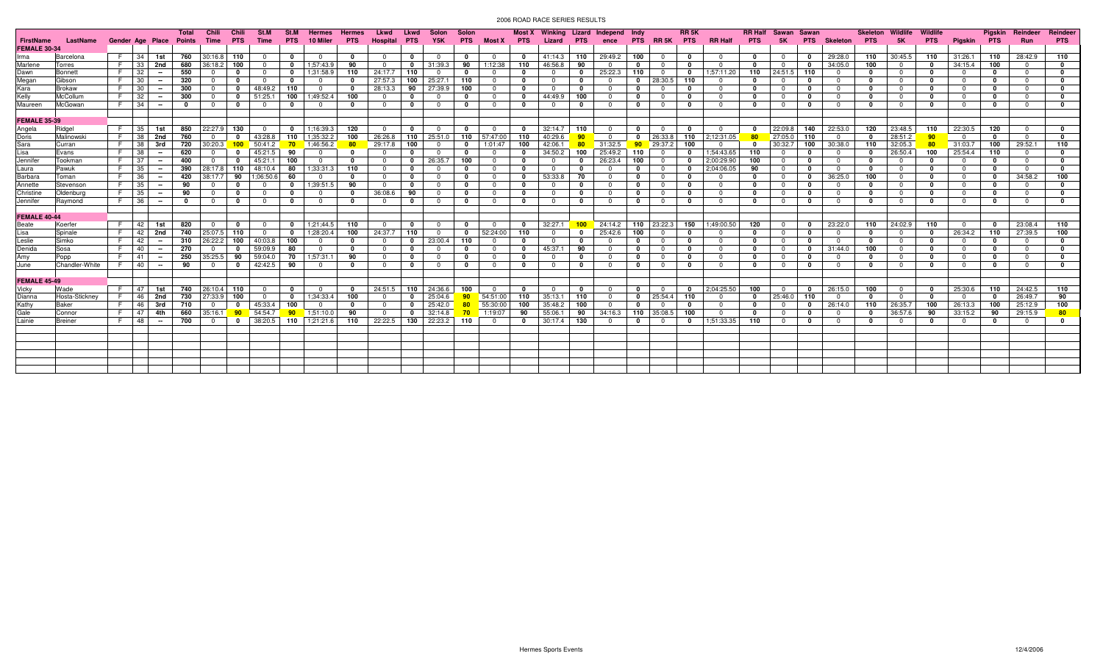|                     |                |    |                  |        | Total       | Chili    | Chili        | <b>St.M</b>             | St.M            | <b>Hermes</b>           | <b>Hermes</b> | Lkwd            | Lkwd         | Solon          | Solon        |            |              | <b>Most X</b> Winking |              | Lizard Independ Indy |                 |                         | RR <sub>5</sub> K |                |              | <b>RR Half</b> Sawan | Sawan        |                 | <b>Skeleton</b> | Wildlife                | Wildlife     |              | Pigskin      | Reindeer       | Reindeer   |
|---------------------|----------------|----|------------------|--------|-------------|----------|--------------|-------------------------|-----------------|-------------------------|---------------|-----------------|--------------|----------------|--------------|------------|--------------|-----------------------|--------------|----------------------|-----------------|-------------------------|-------------------|----------------|--------------|----------------------|--------------|-----------------|-----------------|-------------------------|--------------|--------------|--------------|----------------|------------|
| FirstName           | LastName       |    | Gender Age Place |        | Points      | Time     |              | <b>Time</b>             | <b>PTS</b>      | 10 Miler                | <b>PTS</b>    | <b>Hospital</b> | <b>PTS</b>   | Y5K            | <b>PTS</b>   | Most X PTS |              | Lizard                | <b>PTS</b>   | ence                 |                 | PTS RR5K PTS            |                   | <b>RR Half</b> | <b>PTS</b>   | 5K                   | <b>PTS</b>   | <b>Skeleton</b> | <b>PTS</b>      |                         | <b>PTS</b>   | Piaskin      | <b>PTS</b>   | <b>Run</b>     | <b>PTS</b> |
| <b>FEMALE 30-34</b> |                |    |                  |        |             |          |              |                         |                 |                         |               |                 |              |                |              |            |              |                       |              |                      |                 |                         |                   |                |              |                      |              |                 |                 |                         |              |              |              |                |            |
| Irma                | Barcelona      | E. | 34               | 1st    | 760         | 30:16.8  | 110          | - 0                     | 0               | $\Omega$                | $\Omega$      | $\Omega$        | $\mathbf{0}$ | $\Omega$       | $\Omega$     | $\Omega$   | $\Omega$     | 41:14.3               | 110          | 29:49.2              | 100             | $\Omega$                | 0                 | $\Omega$       | $\mathbf{0}$ | $\Omega$             | $\mathbf{0}$ | 29:28.0         | 110             | 30:45.5                 | 110          | 31:26.1      | 110          | 28:42.9        | 110        |
| Marlene             | Torres         | E. | 33               | 2nd    | 680         | 36:18.2  | 100          | - 0                     | $\mathbf 0$     | 1;57:43.9               | 90            | $\Omega$        | $\mathbf{0}$ | 31:39.3        | 90           | 1:12:38    | 110          | 46:56.8               | 90           |                      | $\mathbf{0}$    | $\mathbf{0}$            | 0                 | $\Omega$       | $\mathbf{0}$ | $\Omega$             | $\mathbf{0}$ | 34:05.0         | 100             | $\overline{\mathbf{0}}$ | - 0          | 34:15.4      | 100          | $\Omega$       | $\Omega$   |
| Dawn                | Bonnett        | E. | -32              | $\sim$ | 550         |          | 0            | - 0                     | $\mathbf 0$     | 1:31:58.9               | 110           | 24:17.7         | 110          |                |              |            |              |                       | 0            | 25:22.3              | 110             | $^{\circ}$              | $\mathbf{0}$      | 1;57:11.20     | 110          | 24:51.5              | 110          |                 | 0               | $\Omega$                | - 0          | $\Omega$     | 0            | $\Omega$       |            |
| Megan               | Gibson         | F. | 30               | $\sim$ | 320         |          | $\Omega$     | $\overline{\mathbf{0}}$ | 0               | $\overline{0}$          | - 0           | 27:57.3         | 100          | 25:27.1        | 110          | $\Omega$   | $\mathbf{0}$ | $\Omega$              | $\mathbf 0$  |                      | $^{\circ}$      | 28:30.5                 | 110               | $\Omega$       | $^{\circ}$   | $^{\circ}$           | $\mathbf{0}$ | $\Omega$        | $\Omega$        | $\Omega$                | - 0          | $^{\circ}$   | $\mathbf{0}$ | $\Omega$       |            |
| Kara                | <b>Brokaw</b>  | E. | 30               | $\sim$ | 300         |          | 0            | 48:49.2                 | 110             | $\overline{0}$          |               | 28:13.3         | 90           | 27:39.9        | 100          | $\Omega$   | 0            |                       | 0            |                      | $\mathbf{0}$    |                         | 0                 | $\Omega$       | $\mathbf{0}$ | $^{\circ}$           | $\mathbf{0}$ | $\Omega$        | $\Omega$        | $\Omega$                | 0            | $\Omega$     | 0            | $\Omega$       |            |
| Kelly               | McCollum       | E. | 32               |        | 300         |          | 0            | 51:25.                  | 100             | 1:49:52.4               | 100           | $\Omega$        | $\mathbf{0}$ | $\Omega$       | 0            | $\Omega$   | 0            | 44:49.9               | 100          |                      | $\mathbf{0}$    | $\Omega$                | 0                 | $\Omega$       | $\mathbf{0}$ | $\Omega$             | $\mathbf{0}$ | $\Omega$        | $\mathbf{0}$    | $\overline{0}$          | - 0          | $^{\circ}$   | 0            | $\Omega$       | $\Omega$   |
| Maureen             | McGowan        | F. | 34               | $\sim$ | 0           |          | 0            | - 0                     | $\Omega$        | - 0                     | - 0           | $\Omega$        | 0            | - 0            | $\Omega$     | $\Omega$   | - 0          |                       | 0            |                      | 0               | $\Omega$                | 0                 | $\Omega$       | $\mathbf{0}$ | $^{\circ}$           | $\mathbf{0}$ |                 | $\Omega$        | $\Omega$                | 0            | $\Omega$     | 0            | $\Omega$       |            |
|                     |                |    |                  |        |             |          |              |                         |                 |                         |               |                 |              |                |              |            |              |                       |              |                      |                 |                         |                   |                |              |                      |              |                 |                 |                         |              |              |              |                |            |
| <b>FEMALE 35-39</b> |                |    |                  |        |             |          |              |                         |                 |                         |               |                 |              |                |              |            |              |                       |              |                      |                 |                         |                   |                |              |                      |              |                 |                 |                         |              |              |              |                |            |
| Angela              | Ridgel         | F. | 35               | 1st    | 850         | 22:27.9  | 130          | $\overline{\mathbf{0}}$ | $\mathbf 0$     | 1:16:39.3               | 120           | $\Omega$        | $\mathbf{0}$ | $\Omega$       | 0            | $\Omega$   | 0            | 32:14.7               | 110          |                      | $\mathbf{0}$    | $\mathbf{0}$            | 0                 | $\Omega$       | $\mathbf{0}$ | 22:09.8              | 140          | 22:53.0         | 120             | 23:48.5                 | 110          | 22:30.5      | 120          | $\Omega$       |            |
| Doris               | Malinowski     | F. | 38               | 2nd    | 760         | $\Omega$ | 0            | 43:28.8                 | 110             | 1:35:32.2               | 100           | 26:26.8         | 110          | 25:51.0        | 110          | 57:47:00   | 110          | 40:29.6               | 90           |                      |                 | 26:33.8                 | 110               | 2:12:31.05     | 80           | 27:05.0              | 110          | $\overline{0}$  | $\mathbf{0}$    | 28:51.2                 | 90           | $\Omega$     | 0            | $\Omega$       |            |
| Sara                | Curran         | F. | -38              | 3rd    | 720         | 30:20.3  | 100          | 50:41.2                 | $70^{\circ}$    | 1;46:56.2               | 80            | 29:17.8         | 100          | $\Omega$       | 0            | 1:01:47    | 100          | 42:06.1               | 80           | 31:32.5              | 90 <sub>1</sub> | 29:37.2                 | 100               | $\Omega$       | $\mathbf{0}$ | 30:32.7              | 100          | 30:38.0         | 110             | 32:05.3                 | 80           | 31:03.7      | 100          | 29:52.1        | 110        |
| Lisa                | Evans          | F. | 38               | $\sim$ | 620         |          |              | 45:21.5                 | 90              | - 0                     |               |                 | $\mathbf{0}$ | $\Omega$       | 0            | $\Omega$   |              | 34:50.2               | 100          | 25:49.2              | 110             | $\overline{0}$          | 0                 | 1;54:43.65     | 110          | $^{\circ}$           | 0            |                 | 0               | 26:50.4                 | 100          | 25:54.4      | 110          | $\Omega$       |            |
| Jennifer            | Tookman        | F. | 37               |        | 400         |          | $\Omega$     | 45:21.                  | 100             | $\overline{\mathbf{0}}$ |               |                 | $\mathbf{0}$ | 26:35.7        | 100          | $\Omega$   | 0            |                       |              | 26:23.4              | 100             | $\overline{\mathbf{0}}$ | 0                 | 2:00:29.90     | 100          | $\mathbf 0$          | 0            |                 | 0               | $\overline{\mathbf{0}}$ | 0            | $\Omega$     | 0            | $\Omega$       |            |
| Laura               | Pawuk          | F. | 35               | $\sim$ | 390         | 28:17.8  | 110          | 48:10.4                 | 80              | 1:33:31.3               | 110           | $\overline{0}$  | $\Omega$     | $\Omega$       | $\mathbf{0}$ | $\Omega$   | $\Omega$     | $\Omega$              | 0            | $\cap$               | $\mathbf{0}$    | $\overline{0}$          | $\mathbf{0}$      | 2:04:06.05     | 90           | $\overline{0}$       | $\mathbf{0}$ | $\Omega$        | $\Omega$        | $\overline{0}$          | - 0          | $\mathbf{0}$ | $\mathbf{0}$ | $\overline{0}$ |            |
| Barbara             | Toman          | E. | 36               | $\sim$ | 420         | 38:17.7  | 90           | 1:06:50.6               | 60              | 0                       |               | $^{\circ}$      | $\mathbf{0}$ | $\Omega$       | 0            | $\Omega$   | $\mathbf{0}$ | 53:33.8               | 70           |                      | $\Omega$        | 0                       | 0                 | $\Omega$       | $^{\circ}$   | $\mathbf{0}$         | $\mathbf 0$  | 36:25.0         | 100             | $\overline{\mathbf{0}}$ | - 0          | $^{\circ}$   | 0            | 34:58.2        | 100        |
| Annette             | Stevensor      | E. | 35               | $\sim$ | 90          | $\Omega$ | $\Omega$     | $\overline{\mathbf{0}}$ | 0               | 1:39:51.5               | 90            | $\Omega$        | $^{\circ}$   | $\Omega$       | $\mathbf{0}$ | $\Omega$   | $\Omega$     | n                     | $\mathbf{0}$ | $\Omega$             | $\mathbf{0}$    | $\mathbf{0}$            | 0                 | $\mathbf{0}$   | $^{\circ}$   | $\Omega$             | $\mathbf 0$  | $\Omega$        | $\mathbf 0$     | $\Omega$                | - 0          | $\Omega$     | $\mathbf{0}$ | $\overline{0}$ | $\Omega$   |
| Christine           | Oldenburc      | F. | - 35             |        | 90          |          | $\Omega$     | - 0                     | 0               | $\overline{0}$          | - 0           | 36:08.6         | 90           | $\cap$         | $\Omega$     | $\Omega$   | $\Omega$     | . വ                   | 0            |                      | $\Omega$        | $\Omega$                | 0                 | $\Omega$       | $\mathbf{0}$ | $\Omega$             | $\mathbf 0$  | $\Omega$        | $\Omega$        | $\Omega$                | - 0          | $\Omega$     | <sup>0</sup> | $\Omega$       | $\Omega$   |
| Jennifer            | Ravmond        |    | F 36             | $\sim$ | $\mathbf 0$ | റ        | 0            | $\overline{\mathbf{0}}$ | 0               | $\overline{\mathbf{0}}$ | $\mathbf{0}$  | $\Omega$        | $^{\circ}$   | $\Omega$       | 0            | $\Omega$   | $\Omega$     | $\Omega$              | $\mathbf 0$  | $\Omega$             | $\mathbf 0$     | $\overline{0}$          | 0                 | $\Omega$       | $^{\circ}$   | $^{\circ}$           | $\mathbf{0}$ | $\Omega$        | $\mathbf{0}$    | $\Omega$                | - 0          | $^{\circ}$   | $\mathbf 0$  | $\overline{0}$ | $\Omega$   |
|                     |                |    |                  |        |             |          |              |                         |                 |                         |               |                 |              |                |              |            |              |                       |              |                      |                 |                         |                   |                |              |                      |              |                 |                 |                         |              |              |              |                |            |
| <b>FEMALE 40-44</b> |                |    |                  |        |             |          |              |                         |                 |                         |               |                 |              |                |              |            |              |                       |              |                      |                 |                         |                   |                |              |                      |              |                 |                 |                         |              |              |              |                |            |
| Beate               | Koerfer        | F. | 42               | 1st    | 820         | . വ      | $\mathbf{0}$ | $\Omega$                | $\mathbf 0$     | 1:21:44.5               | 110           | $\Omega$        | $\mathbf 0$  | $\Omega$       | $\Omega$     | $\Omega$   | $\Omega$     | 32:27.1               | $100 -$      | 24:14.2              |                 | $110$ 23:22.3           | 150               | 1:49:00.50     | 120          | $\Omega$             | $\mathbf{0}$ | 23:22.0         | 110             | 24:02.9                 | 110          | $\Omega$     | $\mathbf{0}$ | 23:08.4        | 110        |
| Lisa                | Spinale        | F. | 42               | 2nd    | 740         | 25:07.5  | 110          | $\overline{\mathbf{0}}$ | $\mathbf 0$     | 1;28:20.4               | 100           | 24:37.7         | 110          | $\overline{0}$ | $\mathbf{0}$ | 52:24:00   | 110          | $\Omega$              | $\mathbf 0$  | 25:42.6              | 100             | $\overline{0}$          | 0                 | $\mathbf{0}$   | $^{\circ}$   | $^{\circ}$           | $\mathbf 0$  | $\overline{0}$  | $\mathbf{0}$    | $\overline{0}$          | $\mathbf{0}$ | 26:34.2      | 110          | 27:39.5        | 100        |
| Leslie              | Simko          | F. | 42               | $\sim$ | 310         | 26:22.2  | 100          | 40:03.8                 | 100             | $\Omega$                | - 0           | $\Omega$        | $\Omega$     | 23:00.4        | 110          | $\Omega$   | $\Omega$     |                       | 0            |                      | $\mathbf{0}$    | $\Omega$                | 0                 | $\Omega$       | $\mathbf{0}$ | $\Omega$             | $\mathbf{0}$ | $\Omega$        | $\Omega$        | n                       | - 0          | $\Omega$     | <sup>0</sup> | $\Omega$       | $\Omega$   |
| Denida              | Sosa           | F. | 40               | $\sim$ | 270         | $\Omega$ | $\Omega$     | 59:09.9                 | 80              | $\overline{0}$          | $\Omega$      | $\Omega$        | $\Omega$     | $\Omega$       | $\Omega$     | $\Omega$   | $\mathbf{0}$ | 45:37.1               | 90           | $\Omega$             | $\Omega$        | $\overline{0}$          | 0                 | $\Omega$       | $\mathbf{0}$ | $\Omega$             | $\mathbf 0$  | 31:44.0         | 100             | $\overline{0}$          | - 0          | $^{\circ}$   | $\mathbf 0$  | $\overline{0}$ | $\Omega$   |
| Amy                 | Popp           | F. | -41              | $\sim$ | 250         | 35:25.5  | 90           | 59:04.0                 | 70              | 1:57:31.                | 90            | $\Omega$        | - 0          | $\cap$         | n            | $\Omega$   | n            |                       | $\mathbf{v}$ |                      | $\Omega$        | $\Omega$                | 0                 | $\Omega$       | $\mathbf{0}$ | $\Omega$             | $\Omega$     | $\Omega$        | $\Omega$        | $\Omega$                | - 0          | $\Omega$     | <sup>0</sup> | $\Omega$       | $\Omega$   |
| June                | Chandler-White | F. | 40               | $\sim$ | 90          | റ        | $^{\circ}$   | 42:42.5                 | 90              | . റ                     | $\Omega$      | $\Omega$        | $^{\circ}$   | $\Omega$       | $\Omega$     | $\Omega$   | $\mathbf{0}$ | റ                     | $\mathbf{0}$ | $\Omega$             | $\mathbf{0}$    | 0                       | 0                 | $\Omega$       | $\mathbf{0}$ | $\Omega$             | $\mathbf{0}$ | $\Omega$        | $\Omega$        | $\Omega$                | - 0          | $\Omega$     | $\mathbf{0}$ | $\Omega$       | $\Omega$   |
|                     |                |    |                  |        |             |          |              |                         |                 |                         |               |                 |              |                |              |            |              |                       |              |                      |                 |                         |                   |                |              |                      |              |                 |                 |                         |              |              |              |                |            |
| <b>FEMALE 45-49</b> |                |    |                  |        |             |          |              |                         |                 |                         |               |                 |              |                |              |            |              |                       |              |                      |                 |                         |                   |                |              |                      |              |                 |                 |                         |              |              |              |                |            |
| Vicky               | Wade           | F. | 47               | 1st    | 740         | 26:10.4  | 110          | $\overline{\mathbf{0}}$ | $\mathbf 0$     | $\overline{0}$          | 0             | 24:51.5         |              | 110 24:36.6    | 100          | - 0        | 0            |                       | 0            |                      | $\mathbf{0}$    | $\mathbf{0}$            | $\mathbf 0$       | 2:04:25.50     | 100          | $^{\circ}$           | $\mathbf 0$  | 26:15.0         | 100             | $\overline{0}$          | $\mathbf{0}$ | 25:30.6      | 110          | 24:42.5        | 110        |
| Dianna              | Hosta-Sticknev | F. | 46               | 2nd    | 730         | 27:33.9  | 100          | - 0                     | $\mathbf 0$     | 1:34:33.4               | 100           | $\Omega$        | $\Omega$     | 25:04.6        | $90^{\circ}$ | 54:51:00   | 110          | 35:13.1               | 110          |                      | $\mathbf{0}$    | 25:54.4                 | 110               | $\Omega$       | 0            | 25:46.0              | 110          | $\Omega$        | $\Omega$        | $\Omega$                | - 0          | $\Omega$     | $\Omega$     | 26:49.7        | 90         |
| Kathy               | Baker          | F. | 46               | 3rd    | 710         |          | $\Omega$     | 45:33.4                 | 100             | $\overline{0}$          | - 0           | $\Omega$        | $\Omega$     | 25:42.0        |              | 55:30:00   | 100          | 35:48.2               | 100          |                      |                 |                         | 0                 | $\Omega$       | $\Omega$     |                      | $\mathbf{0}$ | 26:14.0         | 110             | 26:35.7                 | 100          | 26:13.3      | 100          | 25:12.9        | 100        |
| Gale                | Connor         | F. | -47              | 4th    | 660         | 35:16.1  | 90           | 54:54.7                 | 90 <sub>o</sub> | 1:51:10.0               | 90            | $\Omega$        | $\mathbf{0}$ | 32:14.8        |              | 1:19:07    | 90           | 55:06.                | 90           | 34:16.3              | 110             | 35:08.5                 | 100               | $\Omega$       | $\mathbf{0}$ | $\Omega$             | $\mathbf 0$  | $\Omega$        | 0               | 36:57.6                 | 90           | 33:15.2      | 90           | 29:15.9        | 80         |
| Lainie              | <b>Breiner</b> | E. | 48               | $\sim$ | 700         | റ        | 0            | 38:20.5                 | 110             | 1;21:21.6               | 110           | 22:22.5         | 130          | 22:23.2        | 110          | $\Omega$   | 0            | 30:17.4               | 130          |                      | 0               | $\Omega$                | 0                 | 1:51:33.35     | 110          | $\Omega$             | $\mathbf{0}$ | $\Omega$        | 0               | $\Omega$                | 0            | $\Omega$     | 0            | $\Omega$       | 0          |
|                     |                |    |                  |        |             |          |              |                         |                 |                         |               |                 |              |                |              |            |              |                       |              |                      |                 |                         |                   |                |              |                      |              |                 |                 |                         |              |              |              |                |            |
|                     |                |    |                  |        |             |          |              |                         |                 |                         |               |                 |              |                |              |            |              |                       |              |                      |                 |                         |                   |                |              |                      |              |                 |                 |                         |              |              |              |                |            |
|                     |                |    |                  |        |             |          |              |                         |                 |                         |               |                 |              |                |              |            |              |                       |              |                      |                 |                         |                   |                |              |                      |              |                 |                 |                         |              |              |              |                |            |
|                     |                |    |                  |        |             |          |              |                         |                 |                         |               |                 |              |                |              |            |              |                       |              |                      |                 |                         |                   |                |              |                      |              |                 |                 |                         |              |              |              |                |            |
|                     |                |    |                  |        |             |          |              |                         |                 |                         |               |                 |              |                |              |            |              |                       |              |                      |                 |                         |                   |                |              |                      |              |                 |                 |                         |              |              |              |                |            |
|                     |                |    |                  |        |             |          |              |                         |                 |                         |               |                 |              |                |              |            |              |                       |              |                      |                 |                         |                   |                |              |                      |              |                 |                 |                         |              |              |              |                |            |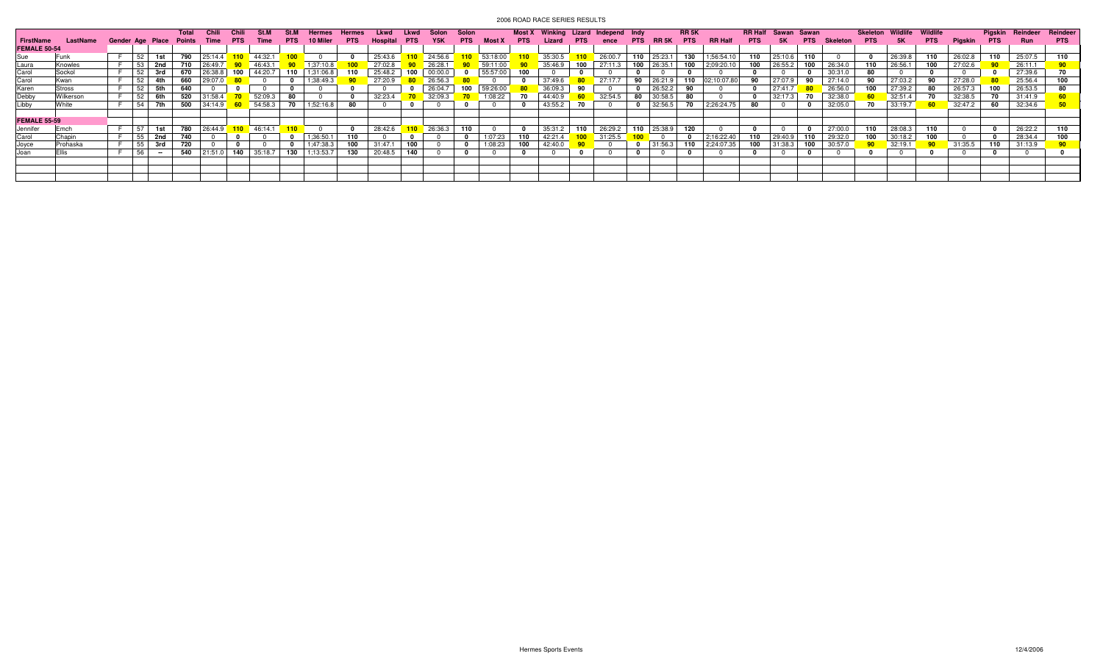|                     |              |                  |     |     | Total  | - Chili            | Chili      | .St.M         |            |                            |            | Lkwd     |            |                  | Solon      |               | Most X     | Winking Lizard Independ |            |         | – Indv       |                         | <b>RR 5K</b> |                | <b>RR Half</b> |                 |            |                 |            |         |            |         | Piaskin    | Reindeer | Reindeer   |
|---------------------|--------------|------------------|-----|-----|--------|--------------------|------------|---------------|------------|----------------------------|------------|----------|------------|------------------|------------|---------------|------------|-------------------------|------------|---------|--------------|-------------------------|--------------|----------------|----------------|-----------------|------------|-----------------|------------|---------|------------|---------|------------|----------|------------|
|                     | LastName     | Gender Age Place |     |     | Points | Time               | <b>PTS</b> | Time          | <b>PTS</b> | 10 Miler                   | <b>PTS</b> | Hospital | <b>PTS</b> | Y <sub>5</sub> K | <b>PTS</b> | <b>Most X</b> | <b>PTS</b> | Lizard                  | <b>PTS</b> | ence    | <b>PTS</b>   | RR 5K                   | <b>PTS</b>   | <b>RR Half</b> | <b>PTS</b>     | 5Κ.             | <b>PTS</b> | <b>Skeleton</b> | <b>PTS</b> | 5K      | <b>PTS</b> | Pigskin | <b>PTS</b> | Run      | <b>PTS</b> |
| <b>FEMALE 50-54</b> |              |                  |     |     |        |                    |            |               |            |                            |            |          |            |                  |            |               |            |                         |            |         |              |                         |              |                |                |                 |            |                 |            |         |            |         |            |          |            |
| Sue                 | <b>IFunk</b> |                  | 52  | 1st |        | <b>790</b> 25:14.4 |            | $110$ 44:32.1 |            | $\Omega$                   |            | 25:43.6  |            | 110 24:56.6      |            | 53:18:00      |            | 35:30.5                 |            | 26:00.7 |              | $110$ 25:23.1           | 130          | 1:56:54.10     |                | 110 25:10.6     |            |                 |            | 26:39.8 | 110        | 26:02.8 | 110        | 25:07.5  | 110        |
| Laura               | Knowles      |                  | 53  | 2nd | 710    | 26:49.7            |            | 46:43.1       |            | 1;37:10.8                  |            | 27:02.8  |            | 26:28.1          |            | 59:11:00      |            | 35:46.9                 | 100        | 27:11.3 |              | 100 26:35.1             |              | 100 2;09:20.10 |                | 100 26:55.2     | 100        | 26:34.0         | 110        | 26:56.1 | 100        | 27:02.6 |            | 26:11.1  |            |
| Carol               | Sockol       |                  | 52  | 3rd |        | 670 26:38.8        | 100        | 44:20.7       | 110        | 1;31:06.8                  |            | 25:48.2  | 100        | 00:00.0          |            | 55:57:00      | 100        |                         |            |         |              |                         |              |                |                |                 |            | 30:31.0         | 80         |         |            |         |            | 27:39.6  |            |
| Carol               | Kwan         |                  |     |     |        | 660 29:07.0        |            | $\sqrt{80}$ 0 |            | 1;38:49.3                  |            | 27:20.9  |            | 26:56.3          |            |               |            | 37:49.6                 |            | 27:17.7 |              | $90$ 26:21.9            | 110          | 02:10:07.80    |                | 90 27:07.9      |            | 27:14.0         | 90         | 27:03.2 |            | 27:28.0 |            | 25:56.4  | 100        |
| Karen               | Stross       |                  | 52  | 5th | 640    |                    |            |               |            |                            |            |          |            | 26:04.7          | 100        | 59:26:00      |            | 36:09.3                 |            |         |              | 26:52.2                 | 90           |                |                | 27:41.7         |            | 26:56.0         | 100        | 27:39.2 | -80        | 26:57.3 | 100        | 26:53.5  |            |
| Debby               | Wilkerson    |                  | 52  | 6th | 520    | 31:58.4            |            | 52:09.3       |            |                            |            | 32:23.4  |            | 32:09.3          |            | 1:08:22       | 70         | 44:40.9                 |            | 32:54.5 | 80           | 30:58.5                 | 80           |                |                | 32:17.3         |            | 32:38.0         |            | 32:51.4 |            | 32:38.5 | 70         | 31:41.9  |            |
| Libby               | White        |                  | -54 | 7th |        | $500$ 34:14.9      | $-60$      | 54:58.3       | - 70       | 1;52:16.8                  | -80        |          |            |                  |            |               |            | 43:55.2                 |            |         | $\mathbf{0}$ | 32:56.5                 | 70           | 2;26:24.75     | 80             | $\Omega$        |            | 32:05.0         | 70         | 33:19.7 |            | 32:47.2 | 60         | 32:34.6  |            |
|                     |              |                  |     |     |        |                    |            |               |            |                            |            |          |            |                  |            |               |            |                         |            |         |              |                         |              |                |                |                 |            |                 |            |         |            |         |            |          |            |
| <b>FEMALE 55-59</b> |              |                  |     |     |        |                    |            |               |            |                            |            |          |            |                  |            |               |            |                         |            |         |              |                         |              |                |                |                 |            |                 |            |         |            |         |            |          |            |
| Jennifer            | Emch         |                  | 57  | 1st |        | <b>780</b> 26:44.9 |            | $110$ 46:14.1 | 110        | $\overline{\phantom{a}}$ 0 |            | 28:42.6  |            | 110 26:36.3      | 110        |               |            | 35:31.2                 | 110        | 26:29.2 |              | 110 25:38.9             | 120          |                |                |                 |            | 27:00.0         | 110        | 28:08.3 |            |         |            | 26:22.2  | 110        |
| Carol               | Chapin       |                  | 55  | 2nd | 740    |                    |            |               |            | 1;36:50.1                  |            |          |            |                  |            | 1:07:23       | 110        | 42:21.4                 |            | 31:25.5 |              | $\overline{\mathbf{0}}$ | 0            | 2:16:22.40     |                | $110$   29:40.9 |            | 29:32.0         | 100        | 30:18.2 |            |         |            | 28:34.4  | 100        |
| Joyce               | Prohaska     |                  | -55 |     |        |                    |            |               |            | 1:47:38.3                  |            | 31:47.1  | 100        |                  |            | 1:08:23       |            | 42:40.0                 |            |         |              | 31:56.3                 | 110          | 2:24:07.35     | 100            | 31:38.3         |            | 30:57.0         |            | 32:19.1 |            | 31:35.5 | 110        | 31:13.9  |            |
| Joan                |              |                  | 56  |     | 540    | 21:51.0            | 140        | 35:18.7       | 130        | 1:13:53.7                  | 130        | 20:48.5  | 140        |                  |            |               |            |                         |            |         |              |                         |              |                |                |                 |            |                 |            |         |            |         |            |          |            |
|                     |              |                  |     |     |        |                    |            |               |            |                            |            |          |            |                  |            |               |            |                         |            |         |              |                         |              |                |                |                 |            |                 |            |         |            |         |            |          |            |
|                     |              |                  |     |     |        |                    |            |               |            |                            |            |          |            |                  |            |               |            |                         |            |         |              |                         |              |                |                |                 |            |                 |            |         |            |         |            |          |            |
|                     |              |                  |     |     |        |                    |            |               |            |                            |            |          |            |                  |            |               |            |                         |            |         |              |                         |              |                |                |                 |            |                 |            |         |            |         |            |          |            |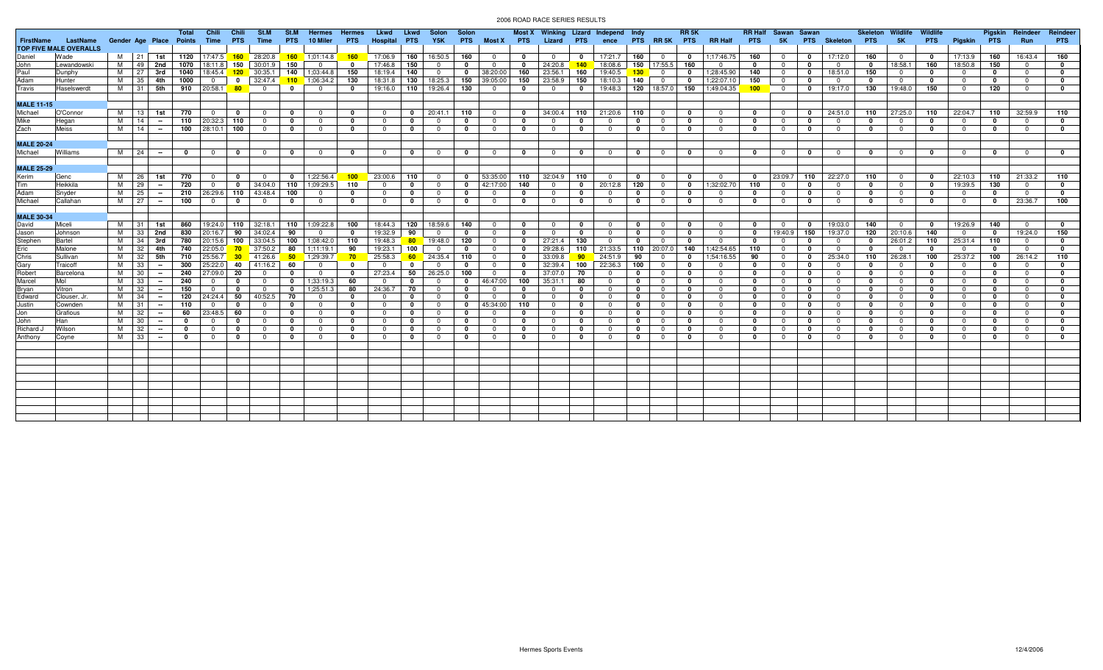|                   |                               |                         |          |          | Total        | Chili                   | Chili           | St.M                          | St.M         | Hermes                  | <b>Hermes</b> | Lkwd           | Lkwd         | Solon                   | Solon        |                         |              |                |                 | Most X Winking Lizard Independ Indy |              |                         | <b>RR 5K</b> |                | <b>RR Half</b> | Sawan Sawan    |              |                     | Skeleton     | Wildlife       | Wildlife     |                         | Pigskin      | Reindeer       | Reindeer     |
|-------------------|-------------------------------|-------------------------|----------|----------|--------------|-------------------------|-----------------|-------------------------------|--------------|-------------------------|---------------|----------------|--------------|-------------------------|--------------|-------------------------|--------------|----------------|-----------------|-------------------------------------|--------------|-------------------------|--------------|----------------|----------------|----------------|--------------|---------------------|--------------|----------------|--------------|-------------------------|--------------|----------------|--------------|
| <b>FirstName</b>  | LastName                      | Gender Age Place Points |          |          |              | Time                    | <b>PTS</b>      | Time                          | <b>PTS</b>   | 10 Miler                | <b>PTS</b>    | Hospital       | <b>PTS</b>   | Y5K                     |              | PTS Most X PTS          |              | Lizard         | <b>PTS</b>      | ence                                |              | PTS RR5K PTS            |              | <b>RR Half</b> | <b>PTS</b>     | 5K             |              | <b>PTS</b> Skeleton | <b>PTS</b>   | 5K             | <b>PTS</b>   | Pigskin                 | <b>PTS</b>   | <b>Run</b>     | <b>PTS</b>   |
|                   | <b>TOP FIVE MALE OVERALLS</b> |                         |          |          |              |                         |                 |                               |              |                         |               |                |              |                         |              |                         |              |                |                 |                                     |              |                         |              |                |                |                |              |                     |              |                |              |                         |              |                |              |
| Daniel            | Wade                          |                         |          | M 21 1st |              | 1120 17:47.5 160        |                 | 28:20.8                       | 160          | 1:01:14.8               | $-160$        | 17:06.9        |              | 160 16:50.5             | 160          | $\Omega$                | $\Omega$     | $\overline{0}$ | $\mathbf{0}$    | 17:21.7                             | 160          | $\overline{\mathbf{0}}$ | $\mathbf{0}$ | 1:17:46.75     | 160            | $^{\circ}$     | $\mathbf 0$  | 17:12.0             | 160          | $\overline{0}$ | 0            | 17:13.9                 | 160          | 16:43.4        | 160          |
| John              | Lewandowski                   |                         |          | M 49 2nd |              | $1070$   18:11.8        | 150             | 30:01.9                       | 150          | $\overline{\mathbf{0}}$ | $\Omega$      | 17:46.8        | 150          | $\Omega$                | $\mathbf{0}$ | $\overline{0}$          | $\mathbf{0}$ | 24:20.8        | $140 -$         | 18:08.6                             |              | 150 17:55.5             | 160          | $\overline{0}$ | $\mathbf{0}$   | $^{\circ}$     | $\mathbf 0$  | - 0                 | $\mathbf{0}$ | 18:58.1        | 160          | 18:50.8                 | 150          | $\overline{0}$ | $\mathbf 0$  |
| Paul              | Dunphy                        |                         |          | M 27 3rd |              | 1040 18:45.4 120        |                 | 30:35.1                       | 140          | 1:03:44.8               | 150           | 18:19.4        | 140          | $\overline{0}$          | $\mathbf 0$  | 38:20:00                | 160          | 23:56.1        | 160             | 19:40.5                             | 130          | $\overline{0}$          | 0            | 1;28:45.90     | 140            | $\overline{0}$ | $\mathbf{0}$ | 18:51.0             | 150          | $\overline{0}$ | 0            | $\overline{0}$          | $\mathbf 0$  | $\overline{0}$ | $\mathbf{0}$ |
| Adam              | Hunter                        |                         | M 35 4th |          | 1000         | $\overline{\mathbf{0}}$ | $\mathbf 0$     | 32:47.4                       | 110          | 1:06:34.2               | 130           | 18:31.8        |              | 130   18:25.3   150     |              | 39:05:00                | 150          | 23:58.9        | 150             | 18:10.3                             | 140          | $\overline{0}$          | 0            | 1:22:07.10     | 150            | $\overline{0}$ | $\mathbf 0$  | $\overline{0}$      | $\mathbf 0$  | $\overline{0}$ | 0            | $\overline{0}$          | $\mathbf 0$  | $\overline{0}$ | $\mathbf 0$  |
| Travis            | Haselswerdt                   |                         | M 31 5th |          |              | 910 20:58.1 80          |                 | $\overline{\mathbf{0}}$       | $\mathbf 0$  | $\overline{0}$          | $\mathbf{0}$  | 19:16.0        |              | 110 19:26.4             | 130          | $\overline{0}$          | $\mathbf 0$  | $\overline{0}$ | $\mathbf{0}$    | 19:48.3                             |              | 120 18:57.0             | 150          | 1:49.04.35     | 100            | $\overline{0}$ | $\mathbf{0}$ | 19:17.0             | 130          | 19:48.0        | 150          | $\overline{0}$          | 120          | $\overline{0}$ | $\mathbf 0$  |
|                   |                               |                         |          |          |              |                         |                 |                               |              |                         |               |                |              |                         |              |                         |              |                |                 |                                     |              |                         |              |                |                |                |              |                     |              |                |              |                         |              |                |              |
| <b>MALE 11-15</b> |                               |                         |          |          |              |                         |                 |                               |              |                         |               |                |              |                         |              |                         |              |                |                 |                                     |              |                         |              |                |                |                |              |                     |              |                |              |                         |              |                |              |
| Michael           | O'Connor                      |                         | M   13   | 1st      | 770          | $\overline{0}$          | $\mathbf 0$     | $\overline{\mathbf{0}}$       | 0            | $\overline{0}$          | 0             |                | $\mathbf{0}$ | 20:41.1                 | 110          | $\overline{0}$          | 0            | 34:00.4        | 110 l           | 21:20.6                             | 110          | $\overline{0}$          | $\mathbf 0$  | $\overline{0}$ | 0              | $\overline{0}$ | $\mathbf{0}$ | 24:51.0             | 110          | 27:25.0        | 110          | 22:04.7                 | 110          | 32:59.9        | 110          |
| Mike              | Hegan                         | M I                     | 14       | $\sim$   |              | 110 20:32.3 110         |                 | $\overline{\mathbf{0}}$       | $\mathbf 0$  | $\Omega$                | $^{\circ}$    | $\Omega$       | $\mathbf 0$  | $\Omega$                | $\mathbf{0}$ | $\overline{0}$          | 0            | $\Omega$       | $\mathbf{0}$    | $\Omega$                            | $\mathbf{0}$ | $\Omega$                | $\mathbf 0$  | $\Omega$       | $\mathbf{0}$   | $\overline{0}$ | $\mathbf{0}$ | $\Omega$            | $\mathbf{0}$ | $\overline{0}$ | $\mathbf 0$  | $\overline{0}$          | $\mathbf 0$  | $\overline{0}$ | $\mathbf 0$  |
| Zach              | Meiss                         |                         | M   14   | $\sim$   |              | $100$   28:10.1   100   |                 | $\mathbf{0}$                  | $\mathbf{0}$ | $\overline{0}$          | $\mathbf{0}$  | $\Omega$       | $\mathbf{0}$ | - 0                     | $\mathbf{0}$ | . റ                     | $\mathbf{0}$ | $^{\circ}$     | $\mathbf{0}$    | $^{\circ}$                          | $\mathbf{0}$ | $\overline{0}$          | $\mathbf 0$  | 0              | $\mathbf{0}$   | $\overline{0}$ | $\mathbf{0}$ | $\mathbf{0}$        | $\mathbf{0}$ | $^{\circ}$     | $\mathbf 0$  | $\mathbf{0}$            | $\mathbf{0}$ | $\overline{0}$ | $\mathbf{0}$ |
| <b>MALE 20-24</b> |                               |                         |          |          |              |                         |                 |                               |              |                         |               |                |              |                         |              |                         |              |                |                 |                                     |              |                         |              |                |                |                |              |                     |              |                |              |                         |              |                |              |
| Michael           |                               |                         |          |          |              |                         |                 |                               |              |                         |               |                |              |                         |              |                         |              |                |                 |                                     |              |                         |              |                |                |                |              |                     |              |                |              |                         |              |                |              |
|                   | Williams                      |                         | M 24     | $\sim$   | $\mathbf{0}$ | $\overline{0}$          | $\mathbf 0$     | $\overline{0}$                | $\mathbf 0$  | $\overline{0}$          | $\mathbf 0$   | $\overline{0}$ | $\mathbf 0$  | $\overline{0}$          | $\mathbf 0$  | $\overline{0}$          | $\mathbf{0}$ | $\overline{0}$ | $\mathbf{0}$    | $\overline{0}$                      | $\mathbf{0}$ | $\overline{0}$          | $\mathbf 0$  | $\Omega$       | $\mathbf 0$    | $\overline{0}$ | $\mathbf{0}$ | $\overline{0}$      | $\mathbf 0$  | $\overline{0}$ | $\mathbf{0}$ | $\overline{0}$          | $\mathbf 0$  | $\overline{0}$ | $\mathbf 0$  |
| <b>MALE 25-29</b> |                               |                         |          |          |              |                         |                 |                               |              |                         |               |                |              |                         |              |                         |              |                |                 |                                     |              |                         |              |                |                |                |              |                     |              |                |              |                         |              |                |              |
| Kerim             | Genc                          |                         | M 26     | 1st      | 770          | $^{\circ}$              | $\mathbf{0}$    | $\overline{0}$                | $\mathbf 0$  | 1:22:56.4               | 100           | 23:00.6        | 110          | $\overline{0}$          |              | $0 \quad 53:35:00$      | 110          | 32:04.9        | 110             | $\overline{0}$                      | $\mathbf{0}$ | $\overline{0}$          | $\mathbf 0$  | $\mathbf{0}$   | $\mathbf{0}$   | 23:09.7        |              | 110 22:27.0         | 110          | $\overline{0}$ | $\mathbf{0}$ | 22:10.3                 | 110          | 21:33.2        | 110          |
| Tim               | Heikkila                      | M                       | 29       | $\sim$   | 720          | $\overline{0}$          | $\mathbf 0$     | 34:04.0                       | 110          | 1:09:29.5               | 110           | $\overline{0}$ | $\mathbf 0$  | $\overline{0}$          | $\mathbf 0$  | 42:17:00                | 140          | $\overline{0}$ | $\mathbf 0$     | 20:12.8                             | 120          | $\overline{0}$          | $\mathbf{0}$ | 1:32:02.70     | 110            | $\overline{0}$ | $\mathbf{0}$ | $\mathbf{0}$        | $\mathbf 0$  | $\mathbf 0$    | $\mathbf 0$  | 19:39.5                 | 130          | $\overline{0}$ | $\mathbf 0$  |
| Adam              | Snyder                        |                         | M 25     | $\sim$   |              |                         |                 | 210 26:29.6 110 43:48.4       | 100          | $\overline{0}$          | $\mathbf{0}$  | $\Omega$       | $\mathbf{0}$ | $\overline{0}$          | $\mathbf 0$  | $\Omega$                | $\mathbf 0$  | $^{\circ}$     | $\mathbf{0}$    | $\Omega$                            | $\mathbf{0}$ | $\overline{0}$          | $\mathbf 0$  | $\Omega$       | $\mathbf 0$    | $\overline{0}$ | $\mathbf 0$  | $\overline{0}$      | $\mathbf 0$  | $^{\circ}$     | 0            | $\Omega$                | $\mathbf{0}$ | $\overline{0}$ | $\mathbf 0$  |
| Michael           | Callahan                      |                         | M 27     | $\sim$   | 100          | $\overline{0}$          | $\mathbf{0}$    | $\overline{0}$                | 0            | $\Omega$                | $^{\circ}$    | $\Omega$       | $\mathbf{0}$ | $\Omega$                | $\mathbf{0}$ | $\Omega$                | $\mathbf{0}$ | $\overline{0}$ | $\mathbf 0$     | $\Omega$                            | $\mathbf{0}$ | $\overline{0}$          | $\mathbf{0}$ | $\Omega$       | $\mathbf{0}$   | $\Omega$       | $\mathbf{0}$ | $\Omega$            | $\Omega$     | $^{\circ}$     | 0            | $\Omega$                | $\mathbf 0$  | 23:36.7        | 100          |
|                   |                               |                         |          |          |              |                         |                 |                               |              |                         |               |                |              |                         |              |                         |              |                |                 |                                     |              |                         |              |                |                |                |              |                     |              |                |              |                         |              |                |              |
| <b>MALE 30-34</b> |                               |                         |          |          |              |                         |                 |                               |              |                         |               |                |              |                         |              |                         |              |                |                 |                                     |              |                         |              |                |                |                |              |                     |              |                |              |                         |              |                |              |
| David             | Miceli                        | M I                     | 31       | 1st      |              |                         |                 | 860   19:24.0   110   32:18.1 | 110          | 1:09:22.8               | 100           | 18:44.3        |              | 120 18:59.6 140         |              | $\Omega$                | $\Omega$     | $\Omega$       | $\mathbf{0}$    | $\Omega$                            | $\mathbf{0}$ | $\Omega$                | $\mathbf 0$  | $\Omega$       | $\mathbf{0}$   | $\Omega$       | $\mathbf{0}$ | 19:03.0             | 140          | $\overline{0}$ | 0            | 19:26.9                 | 140          | $\Omega$       | $\mathbf{0}$ |
| Jason             | Johnson                       | <b>M</b>                |          | 33 2nd   | 830          | 20:16.7                 | 90              | 34:02.4                       | 90           | $\Omega$                | 0             | 19:32.9        | 90           | - 0                     | $\mathbf 0$  | $\Omega$                | $\mathbf 0$  | $\Omega$       | $\mathbf 0$     | $\Omega$                            | $\mathbf 0$  | $\overline{0}$          | $\mathbf 0$  | $\Omega$       | $\mathbf{0}$   | 19:40.9        | 150          | 19:37.0             | 120          | 20:10.6        | 140          | $\Omega$                | $^{\circ}$   | 19:24.0        | 150          |
| Stephen           | Bartel                        | <b>M</b>                |          | 34 3rd   | 780          | $\sqrt{20:15.6}$        | 100             | 33:04.5                       | 100          | 1:08:42.0               | 110           | 19:48.3        |              | 80 19:48.0              | 120          | $\Omega$                | n            | 27:21.4        | 130             | $\Omega$                            | $^{\circ}$   | $\Omega$                | 0            | $\Omega$       | $\mathbf{0}$   | $\Omega$       | $\mathbf{0}$ | $\Omega$            | $\mathbf{0}$ | 26:01.2        | 110          | 25:31.4                 | 110          | $\Omega$       | $\mathbf{0}$ |
| Eric              | Malone                        | M                       | 32       | 4th      | 740          | 22:05.0                 | $-70$           | 37:50.2                       | 80           | 1:11:19.1               | 90            | 19:23.1        | 100          | $\Omega$                | $\mathbf 0$  | $\overline{\mathbf{0}}$ | 0            | 29:28.6        | 110             | 21:33.5                             |              | 110 20:07.0             | 140          | 1;42:54.65     | 110            | $\mathbf 0$    | $\mathbf 0$  | $\mathbf{0}$        | $\mathbf{0}$ | $\overline{0}$ | 0            | $\overline{\mathbf{0}}$ | $\mathbf{0}$ | $\overline{0}$ | $\mathbf 0$  |
| Chris             | Sullivan                      | <b>M</b>                | 32       | 5th      |              | 710 25:56.7             | 30 <sub>2</sub> | 41:26.6                       | $-50$        | 1:29:39.7               | $-70$         | 25:58.3        |              | $60$ 24:35.4            | 110          | $\overline{0}$          | $\Omega$     | 33:09.8        | 90 <sub>1</sub> | 24:51.9                             | 90           | $\Omega$                | $\mathbf 0$  | 1:54:16.55     | 90             | $\mathbf{0}$   | $\mathbf 0$  | 25:34.0             | 110          | 26:28.1        | 100          | 25:37.2                 | 100          | 26:14.2        | 110          |
| Gary              | Traicoff                      | M                       | 33       | $\sim$   | 300          | 25:22.0                 | 40              | 41:16.2                       | 60           | $\Omega$                | $\Omega$      | $\Omega$       | 0            | - 0                     | $\mathbf 0$  | $\overline{0}$          | 0            | 32:39.4        | 100             | 22:36.3                             | 100          | $\overline{\mathbf{0}}$ | $\mathbf 0$  | 0              | $\mathbf{0}$   | $^{\circ}$     | $\mathbf{0}$ | $\Omega$            | $\mathbf{0}$ | $^{\circ}$     | 0            | - 0                     | $\mathbf{0}$ | $\Omega$       | $\mathbf{0}$ |
| Robert            | Barcelona                     | M                       | 30       | $\sim$   |              | 240 27:09.0             | - 20            | $\overline{\mathbf{0}}$       | 0            | $\overline{0}$          | 0             | 27:23.4        | 50           | 26:25.0                 | 100          | $\overline{0}$          | 0            | 37:07.0        | 70              | $\overline{0}$                      | $\mathbf 0$  | $\overline{0}$          | $\mathbf 0$  | $\mathbf{0}$   | $\mathbf 0$    | $\overline{0}$ | $\mathbf 0$  | $\mathbf{0}$        | $\mathbf 0$  | $^{\circ}$     | $\mathbf 0$  | $\overline{0}$          | $\mathbf{0}$ | $\overline{0}$ | $\mathbf 0$  |
| Marcel            | Mol                           | M                       | 33       | $\sim$   | 240          | $\overline{\mathbf{0}}$ | $\mathbf 0$     | $\overline{0}$                | $\mathbf{0}$ | 1:33:19.3               | - 60          | $\Omega$       | $\mathbf 0$  | $\Omega$                | $\mathbf 0$  | 46:47:00                | 100          | 35:31.1        | 80              | $\overline{0}$                      | $\bullet$    | $\overline{\mathbf{0}}$ | $\mathbf{0}$ | $\mathbf{0}$   | $\mathbf 0$    | $\overline{0}$ | $\mathbf 0$  | $\mathbf{0}$        | $\mathbf{0}$ | $\mathbf 0$    | $\mathbf{0}$ | $\overline{0}$          | $\mathbf 0$  | $\overline{0}$ | $\mathbf{0}$ |
| Bryan             | Vitron                        | M                       | 32       | $\sim$   | 150          | $\overline{0}$          | $\mathbf 0$     | $\overline{0}$                | $\mathbf 0$  | 1;25:51.3               | 80            | 24:36.7        | 70           | $\overline{\mathbf{0}}$ | $\mathbf 0$  | $\Omega$                | $\mathbf{0}$ | $^{\circ}$     | $\mathbf 0$     | $\overline{0}$                      | $\mathbf{0}$ | $\overline{0}$          | $\mathbf 0$  | $\mathbf{0}$   | $\mathbf{0}$   | $\mathbf{0}$   | $\mathbf 0$  | $\mathbf{0}$        | $\mathbf 0$  | $^{\circ}$     | $\mathbf 0$  | $\overline{0}$          | $\mathbf 0$  | $\overline{0}$ | $\mathbf{0}$ |
| Edward            | Clouser, Jr                   |                         | M 34     | $\sim$   |              | 120 24:24.4 50          |                 | 40:52.5                       | 70           | $\overline{0}$          | 0             | - 0            | $^{\circ}$   | $\overline{0}$          | $\mathbf 0$  | $\overline{\mathbf{0}}$ | $\mathbf 0$  | $^{\circ}$     | $\mathbf 0$     | $\overline{0}$                      | $\mathbf{0}$ | $\overline{0}$          | $\mathbf 0$  | $\mathbf{0}$   | $\mathbf{0}$   | $\mathbf{0}$   | $\mathbf 0$  | $\mathbf{0}$        | $\mathbf 0$  | $^{\circ}$     | $\mathbf 0$  | $\mathbf{0}$            | $\mathbf 0$  | $\overline{0}$ | $\mathbf{0}$ |
| Justin            | Cownden                       |                         | M 31     | $\sim$   | 110          | $\overline{0}$          | $\mathbf{0}$    | $\overline{\mathbf{0}}$       | 0            | $\overline{0}$          | $^{\circ}$    | $\Omega$       | $\mathbf{0}$ | $\overline{0}$          | $\mathbf 0$  | 45:34:00                | 110          | $^{\circ}$     | $\mathbf 0$     | $\overline{0}$                      | $\mathbf{0}$ | $\overline{0}$          | $\mathbf 0$  | $\Omega$       | $\mathbf{0}$   | $\overline{0}$ | $^{\circ}$   | $\Omega$            | $\mathbf{0}$ | $\Omega$       | $\mathbf 0$  | $\overline{0}$          | $\mathbf{0}$ | $\Omega$       | $\mathbf{0}$ |
| Jon               | Grafious                      |                         | M 32     | $\sim$   | 60           | 23:48.5                 | 60              | $\overline{0}$                | $\mathbf 0$  | $\overline{0}$          | $\mathbf{0}$  | $\mathbf{0}$   | $\mathbf{0}$ | $\overline{0}$          | $\mathbf 0$  | $\overline{\mathbf{0}}$ | $\mathbf{0}$ | $\mathbf 0$    | $\mathbf{0}$    | $\overline{0}$                      | $\bullet$    | $\overline{0}$          | $\mathbf 0$  | $\mathbf{0}$   | $\mathbf 0$    | $\mathbf 0$    | $\mathbf{0}$ | $\mathbf{0}$        | $\mathbf 0$  | $\mathbf 0$    | $\mathbf{0}$ | $\overline{0}$          | 0            | $\overline{0}$ | $\mathbf{0}$ |
| John              | Han                           |                         | M 30     | $\sim$   | $\mathbf 0$  | $\overline{0}$          | $\mathbf 0$     | $\overline{0}$                | $\mathbf 0$  | $\overline{0}$          | $\mathbf 0$   | $\overline{0}$ | $\mathbf{0}$ | $\overline{0}$          | $\mathbf 0$  | $\overline{0}$          | $\mathbf 0$  | $^{\circ}$     | $\mathbf 0$     | $\overline{0}$                      | $\mathbf{0}$ | $\overline{0}$          | 0            | $\overline{0}$ | $\mathbf{0}$   | $\overline{0}$ | $\mathbf 0$  | $\mathbf{0}$        | $\mathbf 0$  | $^{\circ}$     | 0            | $\overline{0}$          | $\mathbf{0}$ | $\overline{0}$ | $\mathbf{0}$ |
| Richard J         | Wilson                        |                         | M 32     | $\sim$   | $\mathbf{0}$ | $\overline{0}$          | $\mathbf 0$     | $\overline{0}$                | $\mathbf 0$  | $\overline{0}$          | $\mathbf 0$   | $\Omega$       | $\mathbf{0}$ | $\overline{0}$          | $\mathbf 0$  | $\overline{0}$          | $\mathbf{0}$ | $^{\circ}$     | $\mathbf{0}$    | $^{\circ}$                          | $\mathbf{0}$ | $\overline{0}$          | $\mathbf 0$  | $\mathbf{0}$   | $\mathbf 0$    | $\mathbf{0}$   | $\mathbf 0$  | $\mathbf{0}$        | $\mathbf 0$  | $^{\circ}$     | $\mathbf 0$  | $\overline{0}$          | $\mathbf{0}$ | $\overline{0}$ | $\mathbf{0}$ |
| Anthony           | Coyne                         |                         | M 33     | $\sim$   | $\bullet$    | $\overline{0}$          | $\mathbf{0}$    | $\Omega$                      | 0            | $\Omega$                | $^{\circ}$    | $\Omega$       | $\mathbf{0}$ | - 0                     | 0            | $\Omega$                | $\mathbf{0}$ | $\Omega$       | $\mathbf{0}$    | $\Omega$                            | $\mathbf{0}$ | $\Omega$                | $\mathbf{0}$ | $\Omega$       | $\mathbf{0}$   | $\Omega$       | $^{\circ}$   | $\Omega$            | $\mathbf{0}$ | $\Omega$       | $\Omega$     | $\Omega$                | $^{\circ}$   | $\Omega$       | $\mathbf{0}$ |
|                   |                               |                         |          |          |              |                         |                 |                               |              |                         |               |                |              |                         |              |                         |              |                |                 |                                     |              |                         |              |                |                |                |              |                     |              |                |              |                         |              |                |              |
|                   |                               |                         |          |          |              |                         |                 |                               |              |                         |               |                |              |                         |              |                         |              |                |                 |                                     |              |                         |              |                |                |                |              |                     |              |                |              |                         |              |                |              |
|                   |                               |                         |          |          |              |                         |                 |                               |              |                         |               |                |              |                         |              |                         |              |                |                 |                                     |              |                         |              |                |                |                |              |                     |              |                |              |                         |              |                |              |
|                   |                               |                         |          |          |              |                         |                 |                               |              |                         |               |                |              |                         |              |                         |              |                |                 |                                     |              |                         |              |                |                |                |              |                     |              |                |              |                         |              |                |              |
|                   |                               |                         |          |          |              |                         |                 |                               |              |                         |               |                |              |                         |              |                         |              |                |                 |                                     |              |                         |              |                |                |                |              |                     |              |                |              |                         |              |                |              |
|                   |                               |                         |          |          |              |                         |                 |                               |              |                         |               |                |              |                         |              |                         |              |                |                 |                                     |              |                         |              |                |                |                |              |                     |              |                |              |                         |              |                |              |
|                   |                               |                         |          |          |              |                         |                 |                               |              |                         |               |                |              |                         |              |                         |              |                |                 |                                     |              |                         |              |                |                |                |              |                     |              |                |              |                         |              |                |              |
|                   |                               |                         |          |          |              |                         |                 |                               |              |                         |               |                |              |                         |              |                         |              |                |                 |                                     |              |                         |              |                |                |                |              |                     |              |                |              |                         |              |                |              |
|                   |                               |                         |          |          |              |                         |                 |                               |              |                         |               |                |              |                         |              |                         |              |                |                 |                                     |              |                         |              |                |                |                |              |                     |              |                |              |                         |              |                |              |
|                   |                               |                         |          |          |              |                         |                 |                               |              |                         |               |                |              |                         |              |                         |              |                |                 |                                     |              |                         |              |                |                |                |              |                     |              |                |              |                         |              |                |              |